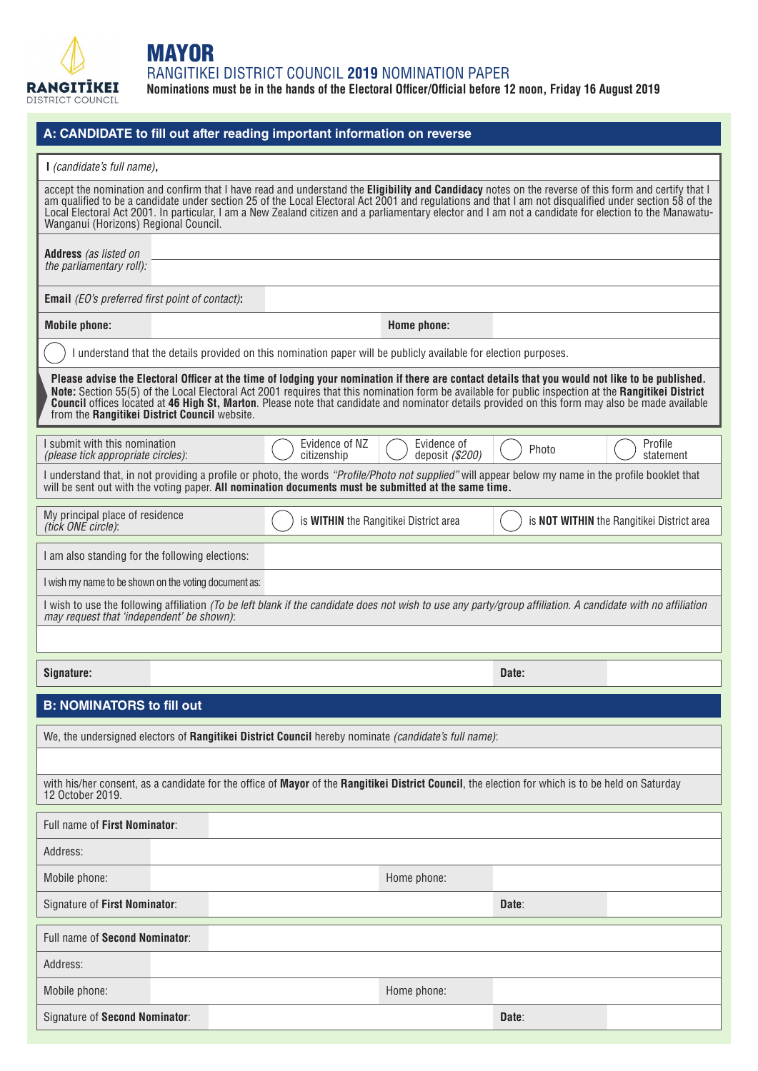

## **MAYOR**

RANGITIKEI DISTRICT COUNCIL **2019** NOMINATION PAPER

**Nominations must be in the hands of the Electoral Officer/Official before 12 noon, Friday 16 August 2019**

| A: CANDIDATE to fill out after reading important information on reverse                                                                                                                                                                                                                                                                                                                                                                                                                                           |                                                                                                                                                              |                                                   |  |  |  |  |  |
|-------------------------------------------------------------------------------------------------------------------------------------------------------------------------------------------------------------------------------------------------------------------------------------------------------------------------------------------------------------------------------------------------------------------------------------------------------------------------------------------------------------------|--------------------------------------------------------------------------------------------------------------------------------------------------------------|---------------------------------------------------|--|--|--|--|--|
| I (candidate's full name),                                                                                                                                                                                                                                                                                                                                                                                                                                                                                        |                                                                                                                                                              |                                                   |  |  |  |  |  |
| accept the nomination and confirm that I have read and understand the Eligibility and Candidacy notes on the reverse of this form and certify that I<br>am qualified to be a candidate under section 25 of the Local Electoral Act 2001 and regulations and that I am not disqualified under section 58 of the<br>Local Electoral Act 2001. In particular, I am a New Zealand citizen and a parliamentary elector and I am not a candidate for election to the Manawatu-<br>Wanganui (Horizons) Regional Council. |                                                                                                                                                              |                                                   |  |  |  |  |  |
| <b>Address</b> (as listed on                                                                                                                                                                                                                                                                                                                                                                                                                                                                                      |                                                                                                                                                              |                                                   |  |  |  |  |  |
| the parliamentary roll):                                                                                                                                                                                                                                                                                                                                                                                                                                                                                          |                                                                                                                                                              |                                                   |  |  |  |  |  |
| <b>Email</b> (EO's preferred first point of contact):                                                                                                                                                                                                                                                                                                                                                                                                                                                             |                                                                                                                                                              |                                                   |  |  |  |  |  |
| <b>Mobile phone:</b>                                                                                                                                                                                                                                                                                                                                                                                                                                                                                              | Home phone:                                                                                                                                                  |                                                   |  |  |  |  |  |
|                                                                                                                                                                                                                                                                                                                                                                                                                                                                                                                   | I understand that the details provided on this nomination paper will be publicly available for election purposes.                                            |                                                   |  |  |  |  |  |
| Please advise the Electoral Officer at the time of lodging your nomination if there are contact details that you would not like to be published.<br>Note: Section 55(5) of the Local Electoral Act 2001 requires that this nomination form be available for public inspection at the Rangitikei District<br>Council offices located at 46 High St, Marton. Please note that candidate and nominator details provided on this form may also be made available<br>from the Rangitikei District Council website.     |                                                                                                                                                              |                                                   |  |  |  |  |  |
| I submit with this nomination<br>(please tick appropriate circles):                                                                                                                                                                                                                                                                                                                                                                                                                                               | Evidence of NZ<br>Evidence of<br>citizenship<br>deposit (\$200)                                                                                              | Profile<br>Photo<br>statement                     |  |  |  |  |  |
| I understand that, in not providing a profile or photo, the words "Profile/Photo not supplied" will appear below my name in the profile booklet that<br>will be sent out with the voting paper. All nomination documents must be submitted at the same time.                                                                                                                                                                                                                                                      |                                                                                                                                                              |                                                   |  |  |  |  |  |
| My principal place of residence<br>(tick ONE circle):                                                                                                                                                                                                                                                                                                                                                                                                                                                             | is WITHIN the Rangitikei District area                                                                                                                       | is <b>NOT WITHIN</b> the Rangitikei District area |  |  |  |  |  |
| I am also standing for the following elections:                                                                                                                                                                                                                                                                                                                                                                                                                                                                   |                                                                                                                                                              |                                                   |  |  |  |  |  |
| I wish my name to be shown on the voting document as:                                                                                                                                                                                                                                                                                                                                                                                                                                                             |                                                                                                                                                              |                                                   |  |  |  |  |  |
| may request that 'independent' be shown):                                                                                                                                                                                                                                                                                                                                                                                                                                                                         | I wish to use the following affiliation (To be left blank if the candidate does not wish to use any party/group affiliation. A candidate with no affiliation |                                                   |  |  |  |  |  |
|                                                                                                                                                                                                                                                                                                                                                                                                                                                                                                                   |                                                                                                                                                              |                                                   |  |  |  |  |  |
| Signature:                                                                                                                                                                                                                                                                                                                                                                                                                                                                                                        |                                                                                                                                                              | Date:                                             |  |  |  |  |  |
| <b>B: NOMINATORS to fill out</b>                                                                                                                                                                                                                                                                                                                                                                                                                                                                                  |                                                                                                                                                              |                                                   |  |  |  |  |  |
|                                                                                                                                                                                                                                                                                                                                                                                                                                                                                                                   | We, the undersigned electors of Rangitikei District Council hereby nominate (candidate's full name):                                                         |                                                   |  |  |  |  |  |
|                                                                                                                                                                                                                                                                                                                                                                                                                                                                                                                   |                                                                                                                                                              |                                                   |  |  |  |  |  |
| with his/her consent, as a candidate for the office of Mayor of the Rangitikei District Council, the election for which is to be held on Saturday<br>12 October 2019.                                                                                                                                                                                                                                                                                                                                             |                                                                                                                                                              |                                                   |  |  |  |  |  |
| Full name of First Nominator:                                                                                                                                                                                                                                                                                                                                                                                                                                                                                     |                                                                                                                                                              |                                                   |  |  |  |  |  |
| Address:                                                                                                                                                                                                                                                                                                                                                                                                                                                                                                          |                                                                                                                                                              |                                                   |  |  |  |  |  |
| Mobile phone:                                                                                                                                                                                                                                                                                                                                                                                                                                                                                                     | Home phone:                                                                                                                                                  |                                                   |  |  |  |  |  |
| Signature of First Nominator:                                                                                                                                                                                                                                                                                                                                                                                                                                                                                     |                                                                                                                                                              | Date:                                             |  |  |  |  |  |
| Full name of Second Nominator:                                                                                                                                                                                                                                                                                                                                                                                                                                                                                    |                                                                                                                                                              |                                                   |  |  |  |  |  |
| Address:                                                                                                                                                                                                                                                                                                                                                                                                                                                                                                          |                                                                                                                                                              |                                                   |  |  |  |  |  |
| Mobile phone:                                                                                                                                                                                                                                                                                                                                                                                                                                                                                                     | Home phone:                                                                                                                                                  |                                                   |  |  |  |  |  |
| Signature of Second Nominator:                                                                                                                                                                                                                                                                                                                                                                                                                                                                                    |                                                                                                                                                              | Date:                                             |  |  |  |  |  |